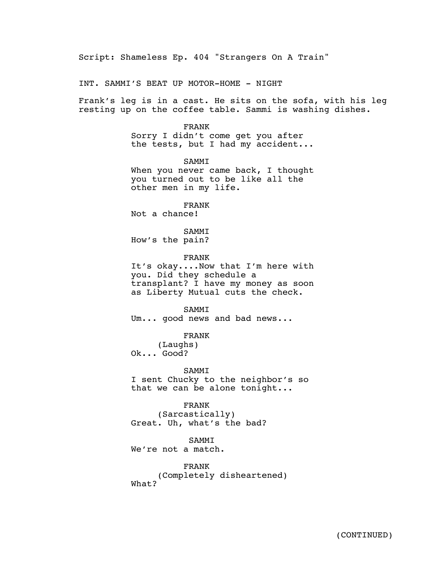Script: Shameless Ep. 404 "Strangers On A Train"

INT. SAMMI'S BEAT UP MOTOR-HOME - NIGHT

Frank's leg is in a cast. He sits on the sofa, with his leg resting up on the coffee table. Sammi is washing dishes.

#### FRANK

Sorry I didn't come get you after the tests, but I had my accident...

SAMMI When you never came back, I thought you turned out to be like all the other men in my life.

FRANK Not a chance!

SAMMI How's the pain?

FRANK

It's okay....Now that I'm here with you. Did they schedule a transplant? I have my money as soon as Liberty Mutual cuts the check.

SAMMI

Um... good news and bad news...

FRANK

(Laughs) Ok... Good?

SAMMI

I sent Chucky to the neighbor's so that we can be alone tonight...

FRANK

(Sarcastically) Great. Uh, what's the bad?

SAMMI

We're not a match.

FRANK (Completely disheartened) What?

7/22/22/22<br>7/22/22/22/22/22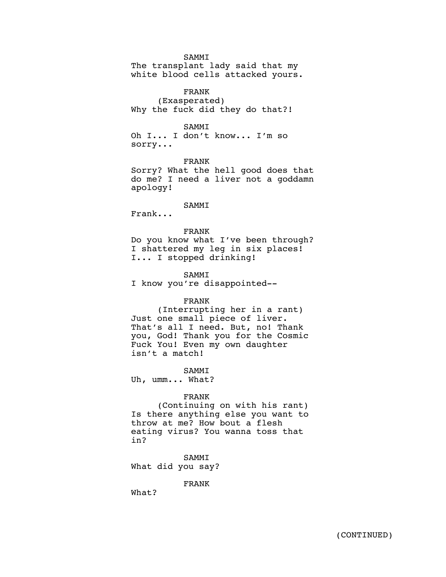SAMMI

The transplant lady said that my white blood cells attacked yours.

FRANK (Exasperated) Why the fuck did they do that?!

#### SAMMI

Oh I... I don't know... I'm so sorry...

FRANK Sorry? What the hell good does that do me? I need a liver not a goddamn apology!

SAMMI

Frank...

FRANK Do you know what I've been through? I shattered my leg in six places! I... I stopped drinking!

SAMMI

I know you're disappointed--

# FRANK

(Interrupting her in a rant) Just one small piece of liver. That's all I need. But, no! Thank you, God! Thank you for the Cosmic Fuck You! Even my own daughter isn't a match!

SAMMI

Uh, umm... What?

## FRANK

(Continuing on with his rant) Is there anything else you want to throw at me? How bout a flesh eating virus? You wanna toss that in?

SAMMI What did you say?

FRANK

What?

 $\mathcal{A}_{\mathcal{A}}$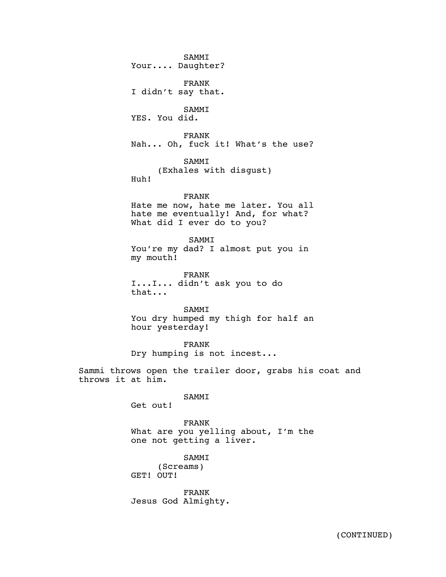SAMMI Your.... Daughter?

FRANK I didn't say that.

SAMMI YES. You did.

FRANK Nah... Oh, fuck it! What's the use?

SAMMI (Exhales with disgust) Huh!

# FRANK

Hate me now, hate me later. You all hate me eventually! And, for what? What did I ever do to you?

SAMMI

You're my dad? I almost put you in my mouth!

FRANK I...I... didn't ask you to do that...

SAMMI You dry humped my thigh for half an hour yesterday!

FRANK

Dry humping is not incest...

Sammi throws open the trailer door, grabs his coat and throws it at him.

SAMMI

Get out!

FRANK What are you yelling about, I'm the one not getting a liver.

SAMMI (Screams) GET! OUT!

FRANK Jesus God Almighty.